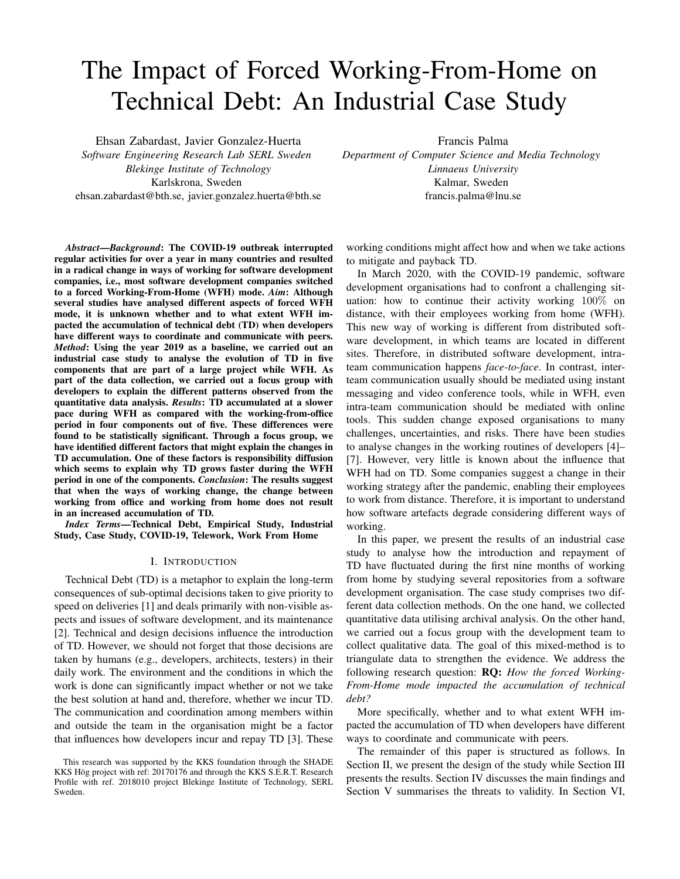# The Impact of Forced Working-From-Home on Technical Debt: An Industrial Case Study

Ehsan Zabardast, Javier Gonzalez-Huerta *Software Engineering Research Lab SERL Sweden Blekinge Institute of Technology* Karlskrona, Sweden ehsan.zabardast@bth.se, javier.gonzalez.huerta@bth.se

*Abstract*—*Background*: The COVID-19 outbreak interrupted regular activities for over a year in many countries and resulted in a radical change in ways of working for software development companies, i.e., most software development companies switched to a forced Working-From-Home (WFH) mode. *Aim*: Although several studies have analysed different aspects of forced WFH mode, it is unknown whether and to what extent WFH impacted the accumulation of technical debt (TD) when developers have different ways to coordinate and communicate with peers. *Method*: Using the year 2019 as a baseline, we carried out an industrial case study to analyse the evolution of TD in five components that are part of a large project while WFH. As part of the data collection, we carried out a focus group with developers to explain the different patterns observed from the quantitative data analysis. *Results*: TD accumulated at a slower pace during WFH as compared with the working-from-office period in four components out of five. These differences were found to be statistically significant. Through a focus group, we have identified different factors that might explain the changes in TD accumulation. One of these factors is responsibility diffusion which seems to explain why TD grows faster during the WFH period in one of the components. *Conclusion*: The results suggest that when the ways of working change, the change between working from office and working from home does not result in an increased accumulation of TD.

*Index Terms*—Technical Debt, Empirical Study, Industrial Study, Case Study, COVID-19, Telework, Work From Home

#### I. INTRODUCTION

Technical Debt (TD) is a metaphor to explain the long-term consequences of sub-optimal decisions taken to give priority to speed on deliveries [1] and deals primarily with non-visible aspects and issues of software development, and its maintenance [2]. Technical and design decisions influence the introduction of TD. However, we should not forget that those decisions are taken by humans (e.g., developers, architects, testers) in their daily work. The environment and the conditions in which the work is done can significantly impact whether or not we take the best solution at hand and, therefore, whether we incur TD. The communication and coordination among members within and outside the team in the organisation might be a factor that influences how developers incur and repay TD [3]. These

Francis Palma

*Department of Computer Science and Media Technology Linnaeus University* Kalmar, Sweden francis.palma@lnu.se

working conditions might affect how and when we take actions to mitigate and payback TD.

In March 2020, with the COVID-19 pandemic, software development organisations had to confront a challenging situation: how to continue their activity working 100% on distance, with their employees working from home (WFH). This new way of working is different from distributed software development, in which teams are located in different sites. Therefore, in distributed software development, intrateam communication happens *face-to-face*. In contrast, interteam communication usually should be mediated using instant messaging and video conference tools, while in WFH, even intra-team communication should be mediated with online tools. This sudden change exposed organisations to many challenges, uncertainties, and risks. There have been studies to analyse changes in the working routines of developers [4]– [7]. However, very little is known about the influence that WFH had on TD. Some companies suggest a change in their working strategy after the pandemic, enabling their employees to work from distance. Therefore, it is important to understand how software artefacts degrade considering different ways of working.

In this paper, we present the results of an industrial case study to analyse how the introduction and repayment of TD have fluctuated during the first nine months of working from home by studying several repositories from a software development organisation. The case study comprises two different data collection methods. On the one hand, we collected quantitative data utilising archival analysis. On the other hand, we carried out a focus group with the development team to collect qualitative data. The goal of this mixed-method is to triangulate data to strengthen the evidence. We address the following research question: RQ: *How the forced Working-From-Home mode impacted the accumulation of technical debt?*

More specifically, whether and to what extent WFH impacted the accumulation of TD when developers have different ways to coordinate and communicate with peers.

The remainder of this paper is structured as follows. In Section II, we present the design of the study while Section III presents the results. Section IV discusses the main findings and Section V summarises the threats to validity. In Section VI,

This research was supported by the KKS foundation through the SHADE KKS Hög project with ref: 20170176 and through the KKS S.E.R.T. Research Profile with ref. 2018010 project Blekinge Institute of Technology, SERL Sweden.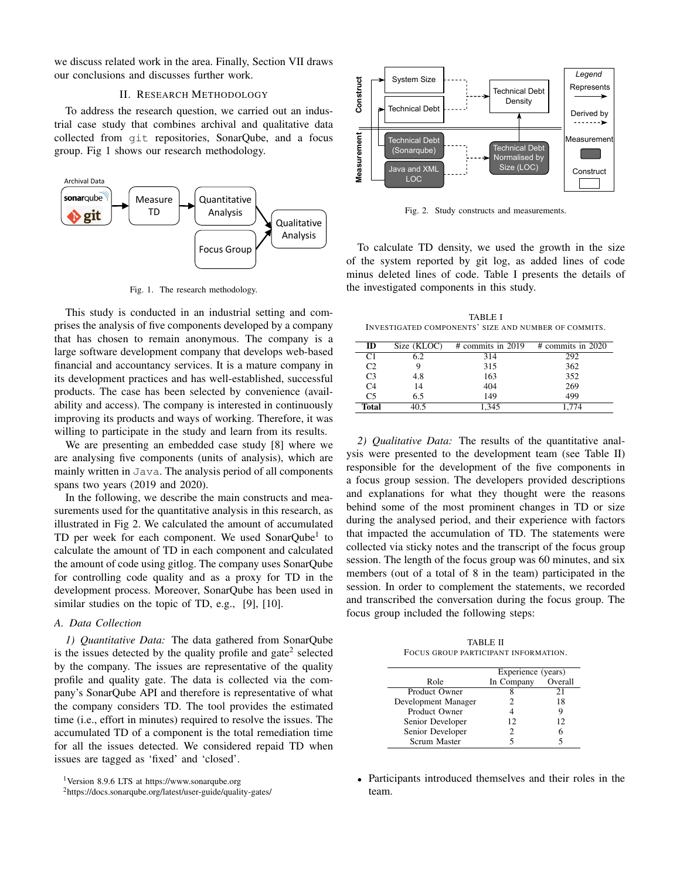we discuss related work in the area. Finally, Section VII draws our conclusions and discusses further work.

# II. RESEARCH METHODOLOGY

To address the research question, we carried out an industrial case study that combines archival and qualitative data collected from git repositories, SonarQube, and a focus group. Fig 1 shows our research methodology.



Fig. 1. The research methodology.

This study is conducted in an industrial setting and comprises the analysis of five components developed by a company that has chosen to remain anonymous. The company is a large software development company that develops web-based financial and accountancy services. It is a mature company in its development practices and has well-established, successful products. The case has been selected by convenience (availability and access). The company is interested in continuously improving its products and ways of working. Therefore, it was willing to participate in the study and learn from its results.

We are presenting an embedded case study [8] where we are analysing five components (units of analysis), which are mainly written in Java. The analysis period of all components spans two years (2019 and 2020).

In the following, we describe the main constructs and measurements used for the quantitative analysis in this research, as illustrated in Fig 2. We calculated the amount of accumulated TD per week for each component. We used SonarQube<sup>1</sup> to calculate the amount of TD in each component and calculated the amount of code using gitlog. The company uses SonarQube for controlling code quality and as a proxy for TD in the development process. Moreover, SonarQube has been used in similar studies on the topic of TD, e.g., [9], [10].

## *A. Data Collection*

*1) Quantitative Data:* The data gathered from SonarQube is the issues detected by the quality profile and gate<sup>2</sup> selected by the company. The issues are representative of the quality profile and quality gate. The data is collected via the company's SonarQube API and therefore is representative of what the company considers TD. The tool provides the estimated time (i.e., effort in minutes) required to resolve the issues. The accumulated TD of a component is the total remediation time for all the issues detected. We considered repaid TD when issues are tagged as 'fixed' and 'closed'.



Fig. 2. Study constructs and measurements.

To calculate TD density, we used the growth in the size of the system reported by git log, as added lines of code minus deleted lines of code. Table I presents the details of the investigated components in this study.

TABLE I INVESTIGATED COMPONENTS' SIZE AND NUMBER OF COMMITS.

| ID             | Size (KLOC) | $\#$ commits in 2019 | $\#$ commits in 2020 |
|----------------|-------------|----------------------|----------------------|
| C <sub>1</sub> | 52          | 314                  | 292                  |
| C <sub>2</sub> |             | 315                  | 362                  |
| C <sub>3</sub> | 4.8         | 163                  | 352                  |
| C <sub>4</sub> | 14          | 404                  | 269                  |
| C <sub>5</sub> | 6.5         | 149                  | 499                  |
| <b>Total</b>   |             | 1.345                |                      |

*2) Qualitative Data:* The results of the quantitative analysis were presented to the development team (see Table II) responsible for the development of the five components in a focus group session. The developers provided descriptions and explanations for what they thought were the reasons behind some of the most prominent changes in TD or size during the analysed period, and their experience with factors that impacted the accumulation of TD. The statements were collected via sticky notes and the transcript of the focus group session. The length of the focus group was 60 minutes, and six members (out of a total of 8 in the team) participated in the session. In order to complement the statements, we recorded and transcribed the conversation during the focus group. The focus group included the following steps:

TABLE II FOCUS GROUP PARTICIPANT INFORMATION.

|                     | Experience (years) |         |
|---------------------|--------------------|---------|
| Role                | In Company         | Overall |
| Product Owner       |                    | 21      |
| Development Manager |                    | 18      |
| Product Owner       |                    | 9       |
| Senior Developer    | 12                 | 12      |
| Senior Developer    |                    |         |
| Scrum Master        |                    |         |

• Participants introduced themselves and their roles in the team.

<sup>1</sup>Version 8.9.6 LTS at https://www.sonarqube.org

<sup>2</sup>https://docs.sonarqube.org/latest/user-guide/quality-gates/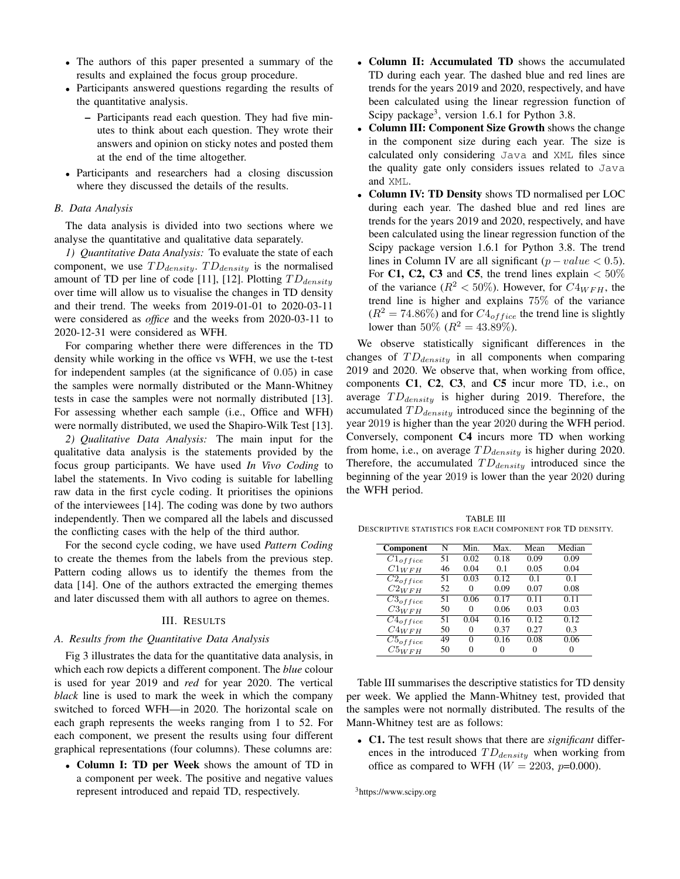- The authors of this paper presented a summary of the results and explained the focus group procedure.
- Participants answered questions regarding the results of the quantitative analysis.
	- Participants read each question. They had five minutes to think about each question. They wrote their answers and opinion on sticky notes and posted them at the end of the time altogether.
- Participants and researchers had a closing discussion where they discussed the details of the results.

### *B. Data Analysis*

The data analysis is divided into two sections where we analyse the quantitative and qualitative data separately.

*1) Quantitative Data Analysis:* To evaluate the state of each component, we use  $TD_{density}$ .  $TD_{density}$  is the normalised amount of TD per line of code [11], [12]. Plotting  $TD_{density}$ over time will allow us to visualise the changes in TD density and their trend. The weeks from 2019-01-01 to 2020-03-11 were considered as *office* and the weeks from 2020-03-11 to 2020-12-31 were considered as WFH.

For comparing whether there were differences in the TD density while working in the office vs WFH, we use the t-test for independent samples (at the significance of 0.05) in case the samples were normally distributed or the Mann-Whitney tests in case the samples were not normally distributed [13]. For assessing whether each sample (i.e., Office and WFH) were normally distributed, we used the Shapiro-Wilk Test [13].

*2) Qualitative Data Analysis:* The main input for the qualitative data analysis is the statements provided by the focus group participants. We have used *In Vivo Coding* to label the statements. In Vivo coding is suitable for labelling raw data in the first cycle coding. It prioritises the opinions of the interviewees [14]. The coding was done by two authors independently. Then we compared all the labels and discussed the conflicting cases with the help of the third author.

For the second cycle coding, we have used *Pattern Coding* to create the themes from the labels from the previous step. Pattern coding allows us to identify the themes from the data [14]. One of the authors extracted the emerging themes and later discussed them with all authors to agree on themes.

## III. RESULTS

# *A. Results from the Quantitative Data Analysis*

Fig 3 illustrates the data for the quantitative data analysis, in which each row depicts a different component. The *blue* colour is used for year 2019 and *red* for year 2020. The vertical *black* line is used to mark the week in which the company switched to forced WFH—in 2020. The horizontal scale on each graph represents the weeks ranging from 1 to 52. For each component, we present the results using four different graphical representations (four columns). These columns are:

• Column I: TD per Week shows the amount of TD in a component per week. The positive and negative values represent introduced and repaid TD, respectively.

- Column II: Accumulated TD shows the accumulated TD during each year. The dashed blue and red lines are trends for the years 2019 and 2020, respectively, and have been calculated using the linear regression function of Scipy package<sup>3</sup>, version 1.6.1 for Python 3.8.
- Column III: Component Size Growth shows the change in the component size during each year. The size is calculated only considering Java and XML files since the quality gate only considers issues related to Java and XML.
- Column IV: TD Density shows TD normalised per LOC during each year. The dashed blue and red lines are trends for the years 2019 and 2020, respectively, and have been calculated using the linear regression function of the Scipy package version 1.6.1 for Python 3.8. The trend lines in Column IV are all significant  $(p-value < 0.5)$ . For C1, C2, C3 and C5, the trend lines explain  $< 50\%$ of the variance ( $R^2 < 50\%$ ). However, for  $C4_{WFH}$ , the trend line is higher and explains 75% of the variance  $(R^2 = 74.86\%)$  and for  $C4<sub>offsetice</sub>$  the trend line is slightly lower than 50% ( $R^2 = 43.89\%$ ).

We observe statistically significant differences in the changes of  $TD_{density}$  in all components when comparing 2019 and 2020. We observe that, when working from office, components C1, C2, C3, and C5 incur more TD, i.e., on average  $TD_{density}$  is higher during 2019. Therefore, the accumulated  $TD_{density}$  introduced since the beginning of the year 2019 is higher than the year 2020 during the WFH period. Conversely, component C4 incurs more TD when working from home, i.e., on average  $TD_{density}$  is higher during 2020. Therefore, the accumulated  $TD_{density}$  introduced since the beginning of the year 2019 is lower than the year 2020 during the WFH period.

TABLE III DESCRIPTIVE STATISTICS FOR EACH COMPONENT FOR TD DENSITY.

| Component                  | N  | Min. | Max. | Mean | Median |
|----------------------------|----|------|------|------|--------|
| $\overline{C1}_{of\,fice}$ | 51 | 0.02 | 0.18 | 0.09 | 0.09   |
| $C1_{WFH}$                 | 46 | 0.04 | 0.1  | 0.05 | 0.04   |
| $C2_{of\,face}$            | 51 | 0.03 | 0.12 | 0.1  | 0.1    |
| $C2_{WFH}$                 | 52 | 0    | 0.09 | 0.07 | 0.08   |
| $\overline{C3}_{office}$   | 51 | 0.06 | 0.17 | 0.11 | 0.11   |
| $C3_{WFH}$                 | 50 | 0    | 0.06 | 0.03 | 0.03   |
| $C4_{office}$              | 51 | 0.04 | 0.16 | 0.12 | 0.12   |
| $C4_{WFH}$                 | 50 | 0    | 0.37 | 0.27 | 0.3    |
| $C5_{of\,face}$            | 49 | 0    | 0.16 | 0.08 | 0.06   |
| $C5_{WFH}$                 | 50 |      |      | 0    | 0      |

Table III summarises the descriptive statistics for TD density per week. We applied the Mann-Whitney test, provided that the samples were not normally distributed. The results of the Mann-Whitney test are as follows:

• C1. The test result shows that there are *significant* differences in the introduced  $TD_{density}$  when working from office as compared to WFH ( $W = 2203$ ,  $p=0.000$ ).

<sup>3</sup>https://www.scipy.org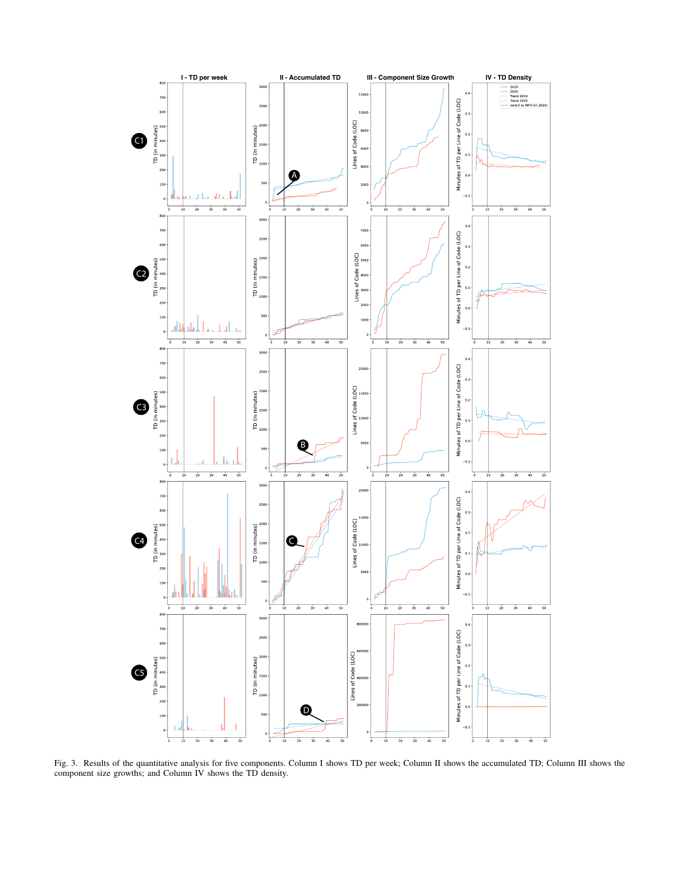

Fig. 3. Results of the quantitative analysis for five components. Column I shows TD per week; Column II shows the accumulated TD; Column III shows the component size growths; and Column IV shows the TD density.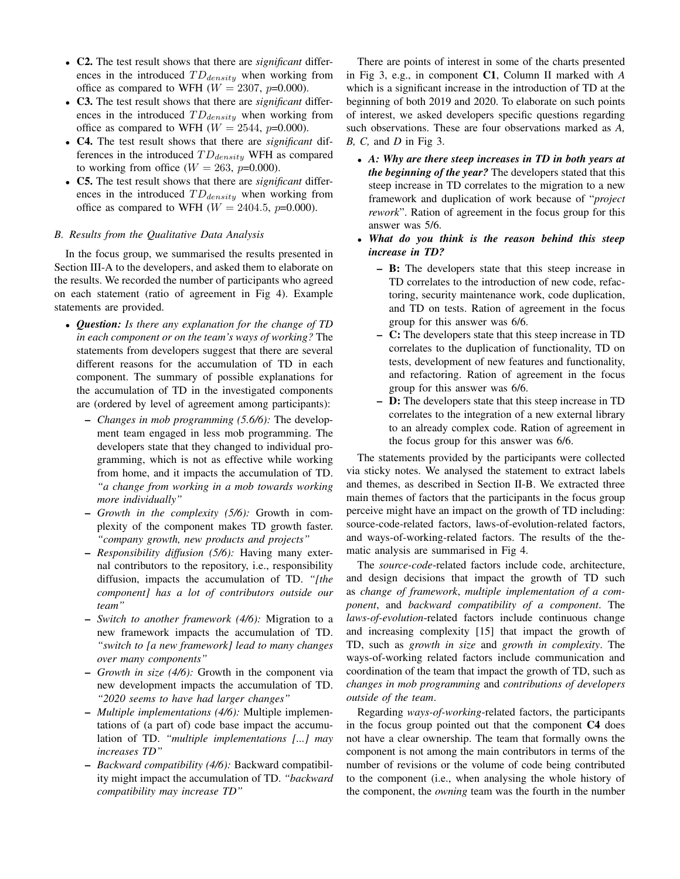- C2. The test result shows that there are *significant* differences in the introduced  $TD_{density}$  when working from office as compared to WFH ( $W = 2307$ ,  $p=0.000$ ).
- C3. The test result shows that there are *significant* differences in the introduced  $TD_{density}$  when working from office as compared to WFH ( $W = 2544$ ,  $p=0.000$ ).
- C4. The test result shows that there are *significant* differences in the introduced  $TD_{density}$  WFH as compared to working from office  $(W = 263, p=0.000)$ .
- C5. The test result shows that there are *significant* differences in the introduced  $TD_{density}$  when working from office as compared to WFH ( $W = 2404.5$ ,  $p=0.000$ ).

# *B. Results from the Qualitative Data Analysis*

In the focus group, we summarised the results presented in Section III-A to the developers, and asked them to elaborate on the results. We recorded the number of participants who agreed on each statement (ratio of agreement in Fig 4). Example statements are provided.

- *Question: Is there any explanation for the change of TD in each component or on the team's ways of working?* The statements from developers suggest that there are several different reasons for the accumulation of TD in each component. The summary of possible explanations for the accumulation of TD in the investigated components are (ordered by level of agreement among participants):
	- *Changes in mob programming (5.6/6):* The development team engaged in less mob programming. The developers state that they changed to individual programming, which is not as effective while working from home, and it impacts the accumulation of TD. *"a change from working in a mob towards working more individually"*
	- *Growth in the complexity (5/6):* Growth in complexity of the component makes TD growth faster. *"company growth, new products and projects"*
	- *Responsibility diffusion (5/6):* Having many external contributors to the repository, i.e., responsibility diffusion, impacts the accumulation of TD. *"[the component] has a lot of contributors outside our team"*
	- *Switch to another framework (4/6):* Migration to a new framework impacts the accumulation of TD. *"switch to [a new framework] lead to many changes over many components"*
	- *Growth in size (4/6):* Growth in the component via new development impacts the accumulation of TD. *"2020 seems to have had larger changes"*
	- *Multiple implementations (4/6):* Multiple implementations of (a part of) code base impact the accumulation of TD. *"multiple implementations [...] may increases TD"*
	- *Backward compatibility (4/6):* Backward compatibility might impact the accumulation of TD. *"backward compatibility may increase TD"*

There are points of interest in some of the charts presented in Fig 3, e.g., in component C1, Column II marked with *A* which is a significant increase in the introduction of TD at the beginning of both 2019 and 2020. To elaborate on such points of interest, we asked developers specific questions regarding such observations. These are four observations marked as *A, B, C,* and *D* in Fig 3.

- *A: Why are there steep increases in TD in both years at the beginning of the year?* The developers stated that this steep increase in TD correlates to the migration to a new framework and duplication of work because of "*project rework*". Ration of agreement in the focus group for this answer was 5/6.
- *What do you think is the reason behind this steep increase in TD?*
	- B: The developers state that this steep increase in TD correlates to the introduction of new code, refactoring, security maintenance work, code duplication, and TD on tests. Ration of agreement in the focus group for this answer was 6/6.
	- C: The developers state that this steep increase in TD correlates to the duplication of functionality, TD on tests, development of new features and functionality, and refactoring. Ration of agreement in the focus group for this answer was 6/6.
	- D: The developers state that this steep increase in TD correlates to the integration of a new external library to an already complex code. Ration of agreement in the focus group for this answer was 6/6.

The statements provided by the participants were collected via sticky notes. We analysed the statement to extract labels and themes, as described in Section II-B. We extracted three main themes of factors that the participants in the focus group perceive might have an impact on the growth of TD including: source-code-related factors, laws-of-evolution-related factors, and ways-of-working-related factors. The results of the thematic analysis are summarised in Fig 4.

The *source-code*-related factors include code, architecture, and design decisions that impact the growth of TD such as *change of framework*, *multiple implementation of a component*, and *backward compatibility of a component*. The *laws-of-evolution*-related factors include continuous change and increasing complexity [15] that impact the growth of TD, such as *growth in size* and *growth in complexity*. The ways-of-working related factors include communication and coordination of the team that impact the growth of TD, such as *changes in mob programming* and *contributions of developers outside of the team*.

Regarding *ways-of-working*-related factors, the participants in the focus group pointed out that the component C4 does not have a clear ownership. The team that formally owns the component is not among the main contributors in terms of the number of revisions or the volume of code being contributed to the component (i.e., when analysing the whole history of the component, the *owning* team was the fourth in the number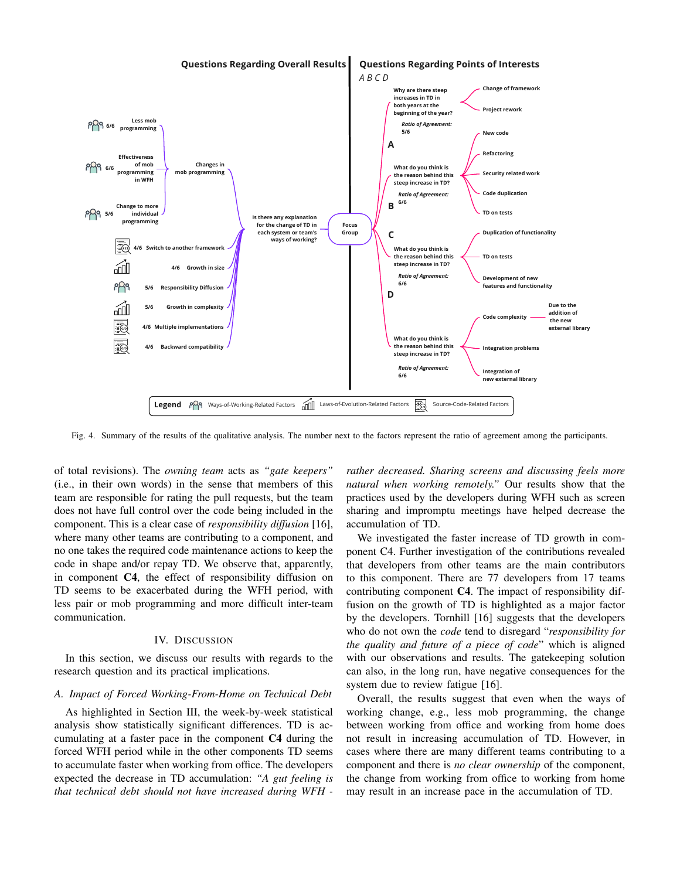

Fig. 4. Summary of the results of the qualitative analysis. The number next to the factors represent the ratio of agreement among the participants.

**Responsibility Diffusion**<br> **Responsibility Diffusion**<br> **Responsibility**<br> **Responsibility**<br> **Responsibility**<br> **Responsibility**<br> **Responsibility**<br> **Responsibility**<br> **Responsibility**<br> **Responsibility**<br> **Responsibility**<br> **Res** of total revisions). The *owning team* acts as *"gate keepers"* (i.e., in their own words) in the sense that members of this team are responsible for rating the pull requests, but the team does not have full control over the code being included in the component. This is a clear case of *responsibility diffusion* [16], where many other teams are contributing to a component, and no one takes the required code maintenance actions to keep the code in shape and/or repay TD. We observe that, apparently, in component C4, the effect of responsibility diffusion on TD seems to be exacerbated during the WFH period, with less pair or mob programming and more difficult inter-team communication.

#### IV. DISCUSSION

In this section, we discuss our results with regards to the research question and its practical implications.

## *A. Impact of Forced Working-From-Home on Technical Debt*

As highlighted in Section III, the week-by-week statistical analysis show statistically significant differences. TD is accumulating at a faster pace in the component C4 during the forced WFH period while in the other components TD seems to accumulate faster when working from office. The developers expected the decrease in TD accumulation: *"A gut feeling is that technical debt should not have increased during WFH -*

*rather decreased. Sharing screens and discussing feels more natural when working remotely."* Our results show that the practices used by the developers during WFH such as screen sharing and impromptu meetings have helped decrease the accumulation of TD.

We investigated the faster increase of TD growth in component C4. Further investigation of the contributions revealed that developers from other teams are the main contributors to this component. There are 77 developers from 17 teams contributing component C4. The impact of responsibility diffusion on the growth of TD is highlighted as a major factor by the developers. Tornhill [16] suggests that the developers who do not own the *code* tend to disregard "*responsibility for the quality and future of a piece of code*" which is aligned with our observations and results. The gatekeeping solution can also, in the long run, have negative consequences for the system due to review fatigue [16].

Overall, the results suggest that even when the ways of working change, e.g., less mob programming, the change between working from office and working from home does not result in increasing accumulation of TD. However, in cases where there are many different teams contributing to a component and there is *no clear ownership* of the component, the change from working from office to working from home may result in an increase pace in the accumulation of TD.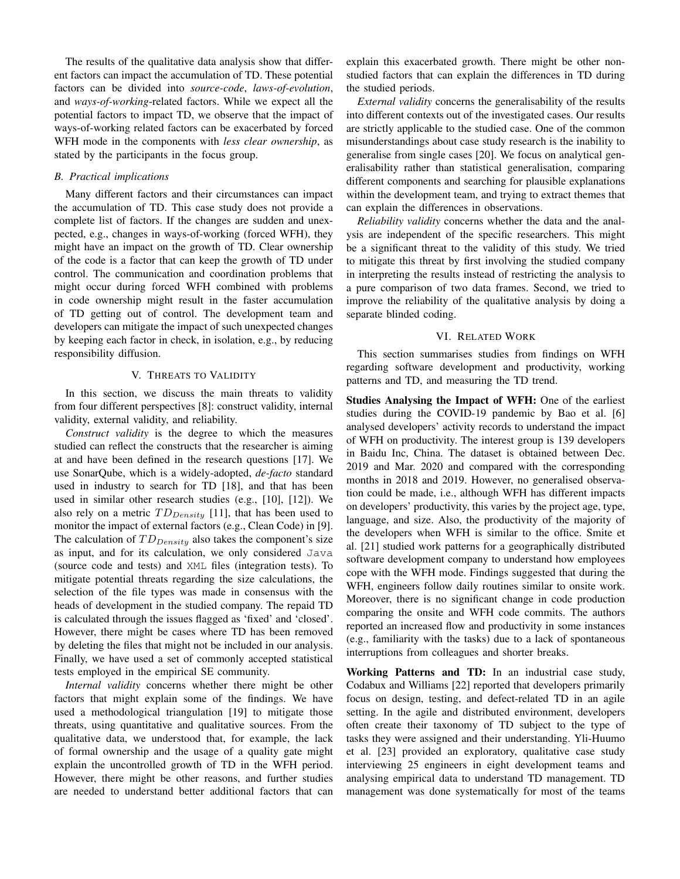The results of the qualitative data analysis show that different factors can impact the accumulation of TD. These potential factors can be divided into *source-code*, *laws-of-evolution*, and *ways-of-working*-related factors. While we expect all the potential factors to impact TD, we observe that the impact of ways-of-working related factors can be exacerbated by forced WFH mode in the components with *less clear ownership*, as stated by the participants in the focus group.

# *B. Practical implications*

Many different factors and their circumstances can impact the accumulation of TD. This case study does not provide a complete list of factors. If the changes are sudden and unexpected, e.g., changes in ways-of-working (forced WFH), they might have an impact on the growth of TD. Clear ownership of the code is a factor that can keep the growth of TD under control. The communication and coordination problems that might occur during forced WFH combined with problems in code ownership might result in the faster accumulation of TD getting out of control. The development team and developers can mitigate the impact of such unexpected changes by keeping each factor in check, in isolation, e.g., by reducing responsibility diffusion.

#### V. THREATS TO VALIDITY

In this section, we discuss the main threats to validity from four different perspectives [8]: construct validity, internal validity, external validity, and reliability.

*Construct validity* is the degree to which the measures studied can reflect the constructs that the researcher is aiming at and have been defined in the research questions [17]. We use SonarQube, which is a widely-adopted, *de-facto* standard used in industry to search for TD [18], and that has been used in similar other research studies (e.g., [10], [12]). We also rely on a metric  $TD_{Density}$  [11], that has been used to monitor the impact of external factors (e.g., Clean Code) in [9]. The calculation of  $TD_{Density}$  also takes the component's size as input, and for its calculation, we only considered Java (source code and tests) and XML files (integration tests). To mitigate potential threats regarding the size calculations, the selection of the file types was made in consensus with the heads of development in the studied company. The repaid TD is calculated through the issues flagged as 'fixed' and 'closed'. However, there might be cases where TD has been removed by deleting the files that might not be included in our analysis. Finally, we have used a set of commonly accepted statistical tests employed in the empirical SE community.

*Internal validity* concerns whether there might be other factors that might explain some of the findings. We have used a methodological triangulation [19] to mitigate those threats, using quantitative and qualitative sources. From the qualitative data, we understood that, for example, the lack of formal ownership and the usage of a quality gate might explain the uncontrolled growth of TD in the WFH period. However, there might be other reasons, and further studies are needed to understand better additional factors that can explain this exacerbated growth. There might be other nonstudied factors that can explain the differences in TD during the studied periods.

*External validity* concerns the generalisability of the results into different contexts out of the investigated cases. Our results are strictly applicable to the studied case. One of the common misunderstandings about case study research is the inability to generalise from single cases [20]. We focus on analytical generalisability rather than statistical generalisation, comparing different components and searching for plausible explanations within the development team, and trying to extract themes that can explain the differences in observations.

*Reliability validity* concerns whether the data and the analysis are independent of the specific researchers. This might be a significant threat to the validity of this study. We tried to mitigate this threat by first involving the studied company in interpreting the results instead of restricting the analysis to a pure comparison of two data frames. Second, we tried to improve the reliability of the qualitative analysis by doing a separate blinded coding.

### VI. RELATED WORK

This section summarises studies from findings on WFH regarding software development and productivity, working patterns and TD, and measuring the TD trend.

Studies Analysing the Impact of WFH: One of the earliest studies during the COVID-19 pandemic by Bao et al. [6] analysed developers' activity records to understand the impact of WFH on productivity. The interest group is 139 developers in Baidu Inc, China. The dataset is obtained between Dec. 2019 and Mar. 2020 and compared with the corresponding months in 2018 and 2019. However, no generalised observation could be made, i.e., although WFH has different impacts on developers' productivity, this varies by the project age, type, language, and size. Also, the productivity of the majority of the developers when WFH is similar to the office. Smite et al. [21] studied work patterns for a geographically distributed software development company to understand how employees cope with the WFH mode. Findings suggested that during the WFH, engineers follow daily routines similar to onsite work. Moreover, there is no significant change in code production comparing the onsite and WFH code commits. The authors reported an increased flow and productivity in some instances (e.g., familiarity with the tasks) due to a lack of spontaneous interruptions from colleagues and shorter breaks.

Working Patterns and TD: In an industrial case study, Codabux and Williams [22] reported that developers primarily focus on design, testing, and defect-related TD in an agile setting. In the agile and distributed environment, developers often create their taxonomy of TD subject to the type of tasks they were assigned and their understanding. Yli-Huumo et al. [23] provided an exploratory, qualitative case study interviewing 25 engineers in eight development teams and analysing empirical data to understand TD management. TD management was done systematically for most of the teams